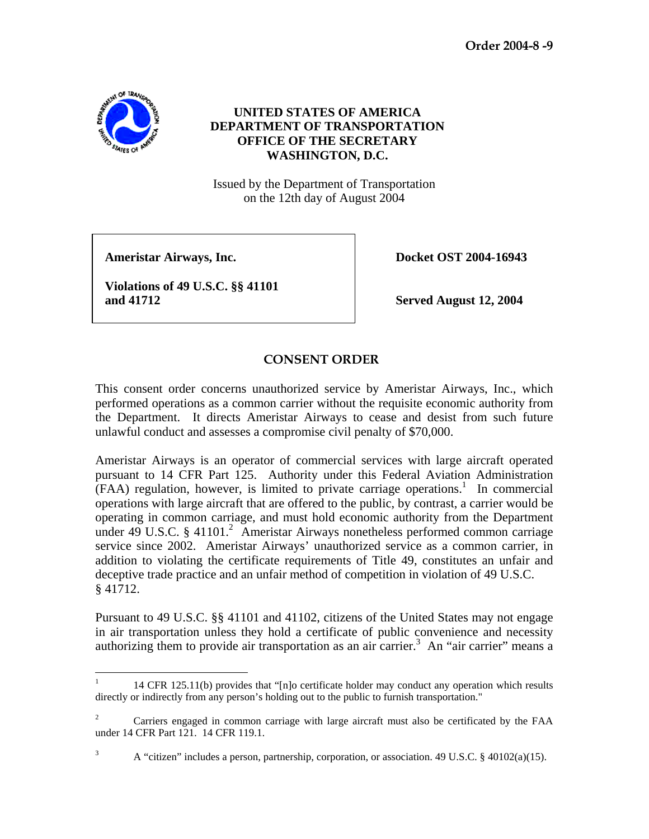**Order 2004-8 -9** 



## **UNITED STATES OF AMERICA DEPARTMENT OF TRANSPORTATION OFFICE OF THE SECRETARY WASHINGTON, D.C.**

Issued by the Department of Transportation on the 12th day of August 2004

**Ameristar Airways, Inc.** Docket OST 2004-16943

 **Violations of 49 U.S.C. §§ 41101 and 41712 Served August 12, 2004** 

## **CONSENT ORDER**

This consent order concerns unauthorized service by Ameristar Airways, Inc., which performed operations as a common carrier without the requisite economic authority from the Department. It directs Ameristar Airways to cease and desist from such future unlawful conduct and assesses a compromise civil penalty of \$70,000.

Ameristar Airways is an operator of commercial services with large aircraft operated pursuant to 14 CFR Part 125. Authority under this Federal Aviation Administration  $(FAA)$  regulation, however, is limited to private carriage operations.<sup>1</sup> In commercial operations with large aircraft that are offered to the public, by contrast, a carrier would be operating in common carriage, and must hold economic authority from the Department under 49 U.S.C. § 41101.<sup>2</sup> Ameristar Airways nonetheless performed common carriage service since 2002. Ameristar Airways' unauthorized service as a common carrier, in addition to violating the certificate requirements of Title 49, constitutes an unfair and deceptive trade practice and an unfair method of competition in violation of 49 U.S.C. § 41712.

Pursuant to 49 U.S.C. §§ 41101 and 41102, citizens of the United States may not engage in air transportation unless they hold a certificate of public convenience and necessity authorizing them to provide air transportation as an air carrier.<sup>3</sup> An "air carrier" means a

 $\frac{1}{1}$ 14 CFR 125.11(b) provides that " $[n]$ o certificate holder may conduct any operation which results directly or indirectly from any person's holding out to the public to furnish transportation."

<sup>2</sup> Carriers engaged in common carriage with large aircraft must also be certificated by the FAA under 14 CFR Part 121. 14 CFR 119.1.

<sup>3</sup> A "citizen" includes a person, partnership, corporation, or association. 49 U.S.C. § 40102(a)(15).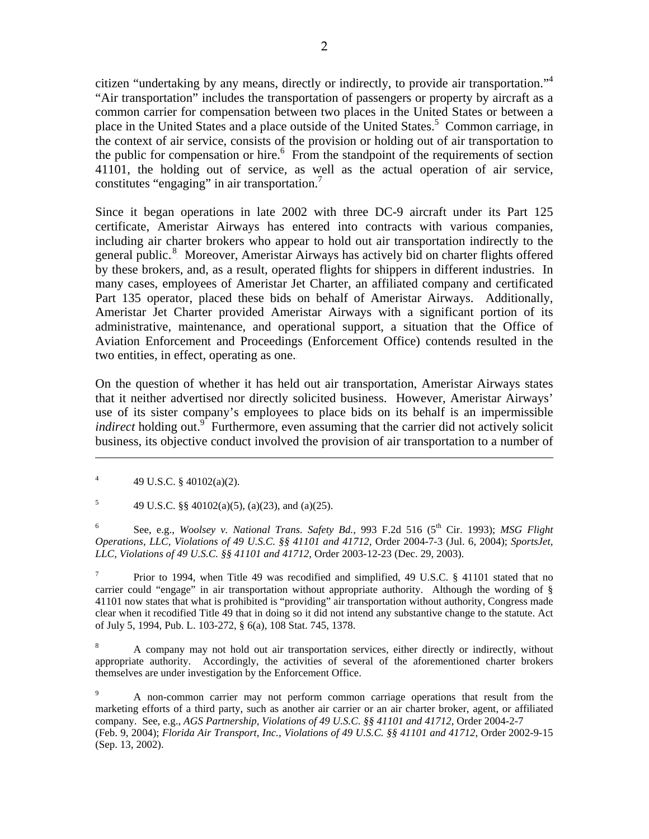citizen "undertaking by any means, directly or indirectly, to provide air transportation."<sup>4</sup> "Air transportation" includes the transportation of passengers or property by aircraft as a common carrier for compensation between two places in the United States or between a place in the United States and a place outside of the United States.<sup>5</sup> Common carriage, in the context of air service, consists of the provision or holding out of air transportation to the public for compensation or hire.<sup>6</sup> From the standpoint of the requirements of section 41101, the holding out of service, as well as the actual operation of air service, constitutes "engaging" in air transportation. $^7$ 

Since it began operations in late 2002 with three DC-9 aircraft under its Part 125 certificate, Ameristar Airways has entered into contracts with various companies, including air charter brokers who appear to hold out air transportation indirectly to the general public.<sup>8</sup> Moreover, Ameristar Airways has actively bid on charter flights offered by these brokers, and, as a result, operated flights for shippers in different industries. In many cases, employees of Ameristar Jet Charter, an affiliated company and certificated Part 135 operator, placed these bids on behalf of Ameristar Airways. Additionally, Ameristar Jet Charter provided Ameristar Airways with a significant portion of its administrative, maintenance, and operational support, a situation that the Office of Aviation Enforcement and Proceedings (Enforcement Office) contends resulted in the two entities, in effect, operating as one.

On the question of whether it has held out air transportation, Ameristar Airways states that it neither advertised nor directly solicited business. However, Ameristar Airways' use of its sister company's employees to place bids on its behalf is an impermissible *indirect* holding out.<sup>9</sup> Furthermore, even assuming that the carrier did not actively solicit business, its objective conduct involved the provision of air transportation to a number of

4 49 U.S.C. § 40102(a)(2).

 $\overline{a}$ 

5 49 U.S.C. §§  $40102(a)(5)$ , (a)(23), and (a)(25).

6 See, e.g., *Woolsey v. National Trans. Safety Bd.*, 993 F.2d 516 (5<sup>th</sup> Cir. 1993); *MSG Flight Operations, LLC, Violations of 49 U.S.C. §§ 41101 and 41712,* Order 2004-7-3 (Jul. 6, 2004); *SportsJet, LLC, Violations of 49 U.S.C. §§ 41101 and 41712,* Order 2003-12-23 (Dec. 29, 2003).

7 Prior to 1994, when Title 49 was recodified and simplified, 49 U.S.C. § 41101 stated that no carrier could "engage" in air transportation without appropriate authority. Although the wording of § 41101 now states that what is prohibited is "providing" air transportation without authority, Congress made clear when it recodified Title 49 that in doing so it did not intend any substantive change to the statute. Act of July 5, 1994, Pub. L. 103-272, § 6(a), 108 Stat. 745, 1378.

8 A company may not hold out air transportation services, either directly or indirectly, without appropriate authority. Accordingly, the activities of several of the aforementioned charter brokers themselves are under investigation by the Enforcement Office.

9 A non-common carrier may not perform common carriage operations that result from the marketing efforts of a third party, such as another air carrier or an air charter broker, agent, or affiliated company. See, e.g., *AGS Partnership, Violations of 49 U.S.C. §§ 41101 and 41712,* Order 2004-2-7 (Feb. 9, 2004); *Florida Air Transport, Inc., Violations of 49 U.S.C. §§ 41101 and 41712,* Order 2002-9-15 (Sep. 13, 2002).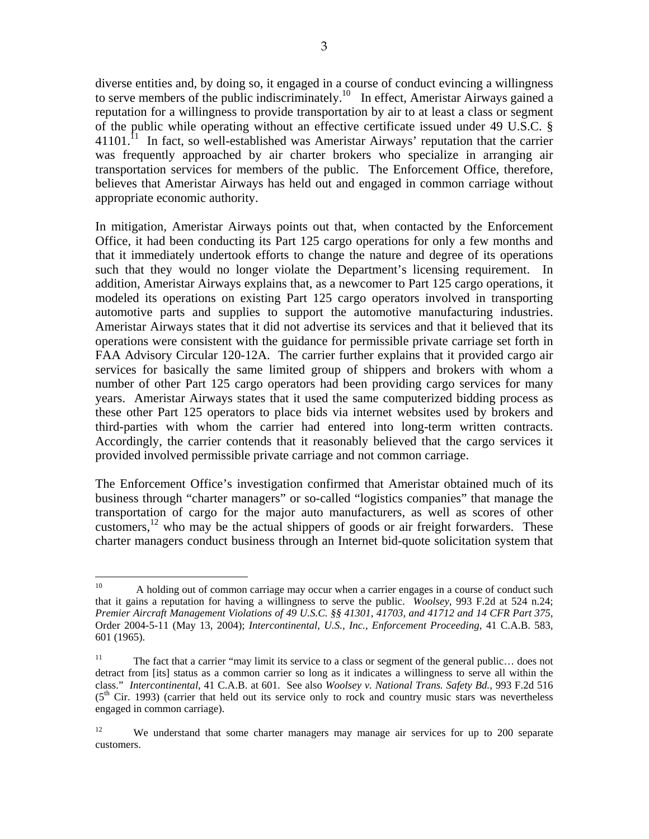diverse entities and, by doing so, it engaged in a course of conduct evincing a willingness to serve members of the public indiscriminately.<sup>10</sup> In effect, Ameristar Airways gained a reputation for a willingness to provide transportation by air to at least a class or segment of the public while operating without an effective certificate issued under 49 U.S.C. §  $41101$ .<sup>11</sup> In fact, so well-established was Ameristar Airways' reputation that the carrier was frequently approached by air charter brokers who specialize in arranging air transportation services for members of the public. The Enforcement Office, therefore, believes that Ameristar Airways has held out and engaged in common carriage without appropriate economic authority.

In mitigation, Ameristar Airways points out that, when contacted by the Enforcement Office, it had been conducting its Part 125 cargo operations for only a few months and that it immediately undertook efforts to change the nature and degree of its operations such that they would no longer violate the Department's licensing requirement. In addition, Ameristar Airways explains that, as a newcomer to Part 125 cargo operations, it modeled its operations on existing Part 125 cargo operators involved in transporting automotive parts and supplies to support the automotive manufacturing industries. Ameristar Airways states that it did not advertise its services and that it believed that its operations were consistent with the guidance for permissible private carriage set forth in FAA Advisory Circular 120-12A. The carrier further explains that it provided cargo air services for basically the same limited group of shippers and brokers with whom a number of other Part 125 cargo operators had been providing cargo services for many years. Ameristar Airways states that it used the same computerized bidding process as these other Part 125 operators to place bids via internet websites used by brokers and third-parties with whom the carrier had entered into long-term written contracts. Accordingly, the carrier contends that it reasonably believed that the cargo services it provided involved permissible private carriage and not common carriage.

The Enforcement Office's investigation confirmed that Ameristar obtained much of its business through "charter managers" or so-called "logistics companies" that manage the transportation of cargo for the major auto manufacturers, as well as scores of other customers, <sup>12</sup> who may be the actual shippers of goods or air freight forwarders. These charter managers conduct business through an Internet bid-quote solicitation system that

 $10<sup>1</sup>$ A holding out of common carriage may occur when a carrier engages in a course of conduct such that it gains a reputation for having a willingness to serve the public. *Woolsey,* 993 F.2d at 524 n.24; *Premier Aircraft Management Violations of 49 U.S.C. §§ 41301, 41703, and 41712 and 14 CFR Part 375,* Order 2004-5-11 (May 13, 2004); *Intercontinental, U.S., Inc., Enforcement Proceeding*, 41 C.A.B. 583, 601 (1965).

<sup>&</sup>lt;sup>11</sup> The fact that a carrier "may limit its service to a class or segment of the general public... does not detract from [its] status as a common carrier so long as it indicates a willingness to serve all within the class." *Intercontinental*, 41 C.A.B. at 601. See also *Woolsey v. National Trans. Safety Bd.*, 993 F.2d 516  $(5<sup>th</sup>$  Cir. 1993) (carrier that held out its service only to rock and country music stars was nevertheless engaged in common carriage).

<sup>&</sup>lt;sup>12</sup> We understand that some charter managers may manage air services for up to 200 separate customers.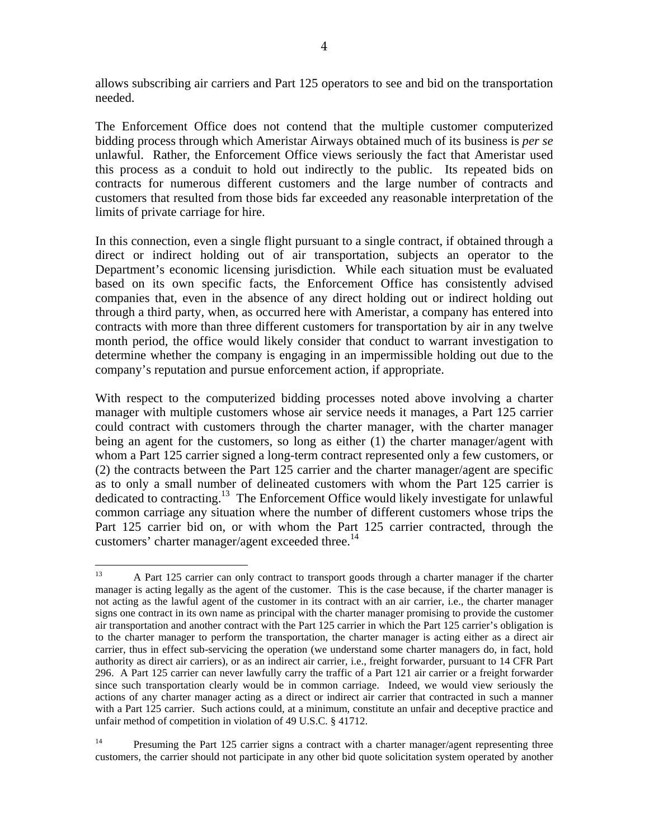allows subscribing air carriers and Part 125 operators to see and bid on the transportation needed.

The Enforcement Office does not contend that the multiple customer computerized bidding process through which Ameristar Airways obtained much of its business is *per se* unlawful. Rather, the Enforcement Office views seriously the fact that Ameristar used this process as a conduit to hold out indirectly to the public. Its repeated bids on contracts for numerous different customers and the large number of contracts and customers that resulted from those bids far exceeded any reasonable interpretation of the limits of private carriage for hire.

In this connection, even a single flight pursuant to a single contract, if obtained through a direct or indirect holding out of air transportation, subjects an operator to the Department's economic licensing jurisdiction. While each situation must be evaluated based on its own specific facts, the Enforcement Office has consistently advised companies that, even in the absence of any direct holding out or indirect holding out through a third party, when, as occurred here with Ameristar, a company has entered into contracts with more than three different customers for transportation by air in any twelve month period, the office would likely consider that conduct to warrant investigation to determine whether the company is engaging in an impermissible holding out due to the company's reputation and pursue enforcement action, if appropriate.

With respect to the computerized bidding processes noted above involving a charter manager with multiple customers whose air service needs it manages, a Part 125 carrier could contract with customers through the charter manager, with the charter manager being an agent for the customers, so long as either (1) the charter manager/agent with whom a Part 125 carrier signed a long-term contract represented only a few customers, or (2) the contracts between the Part 125 carrier and the charter manager/agent are specific as to only a small number of delineated customers with whom the Part 125 carrier is dedicated to contracting.13 The Enforcement Office would likely investigate for unlawful common carriage any situation where the number of different customers whose trips the Part 125 carrier bid on, or with whom the Part 125 carrier contracted, through the customers' charter manager/agent exceeded three.<sup>14</sup>

 $13$ 13 A Part 125 carrier can only contract to transport goods through a charter manager if the charter manager is acting legally as the agent of the customer. This is the case because, if the charter manager is not acting as the lawful agent of the customer in its contract with an air carrier, i.e., the charter manager signs one contract in its own name as principal with the charter manager promising to provide the customer air transportation and another contract with the Part 125 carrier in which the Part 125 carrier's obligation is to the charter manager to perform the transportation, the charter manager is acting either as a direct air carrier, thus in effect sub-servicing the operation (we understand some charter managers do, in fact, hold authority as direct air carriers), or as an indirect air carrier, i.e., freight forwarder, pursuant to 14 CFR Part 296. A Part 125 carrier can never lawfully carry the traffic of a Part 121 air carrier or a freight forwarder since such transportation clearly would be in common carriage. Indeed, we would view seriously the actions of any charter manager acting as a direct or indirect air carrier that contracted in such a manner with a Part 125 carrier. Such actions could, at a minimum, constitute an unfair and deceptive practice and unfair method of competition in violation of 49 U.S.C. § 41712.

<sup>&</sup>lt;sup>14</sup> Presuming the Part 125 carrier signs a contract with a charter manager/agent representing three customers, the carrier should not participate in any other bid quote solicitation system operated by another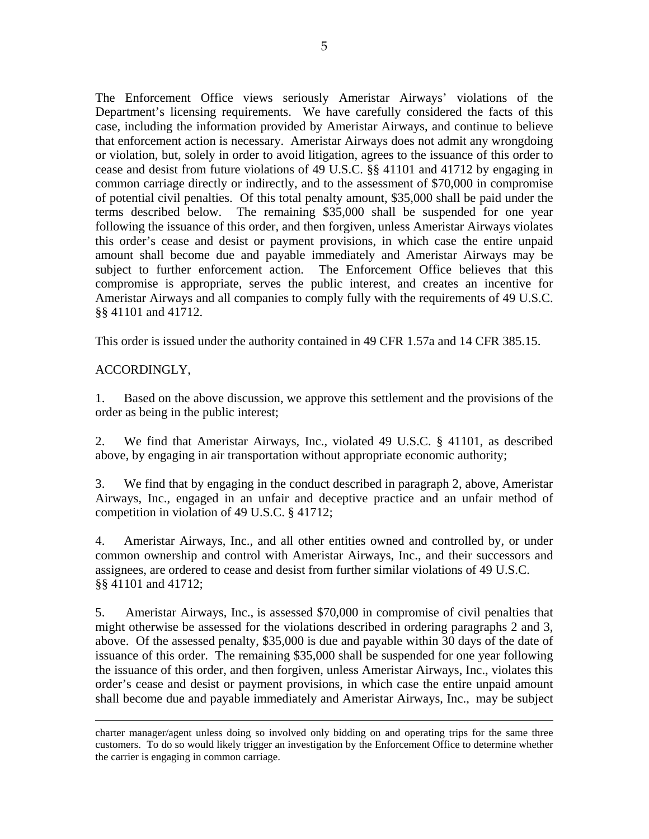The Enforcement Office views seriously Ameristar Airways' violations of the Department's licensing requirements. We have carefully considered the facts of this case, including the information provided by Ameristar Airways, and continue to believe that enforcement action is necessary. Ameristar Airways does not admit any wrongdoing or violation, but, solely in order to avoid litigation, agrees to the issuance of this order to cease and desist from future violations of 49 U.S.C. §§ 41101 and 41712 by engaging in common carriage directly or indirectly, and to the assessment of \$70,000 in compromise of potential civil penalties. Of this total penalty amount, \$35,000 shall be paid under the terms described below. The remaining \$35,000 shall be suspended for one year following the issuance of this order, and then forgiven, unless Ameristar Airways violates this order's cease and desist or payment provisions, in which case the entire unpaid amount shall become due and payable immediately and Ameristar Airways may be subject to further enforcement action. The Enforcement Office believes that this compromise is appropriate, serves the public interest, and creates an incentive for Ameristar Airways and all companies to comply fully with the requirements of 49 U.S.C. §§ 41101 and 41712.

This order is issued under the authority contained in 49 CFR 1.57a and 14 CFR 385.15.

## ACCORDINGLY,

1. Based on the above discussion, we approve this settlement and the provisions of the order as being in the public interest;

2. We find that Ameristar Airways, Inc., violated 49 U.S.C. § 41101, as described above, by engaging in air transportation without appropriate economic authority;

3. We find that by engaging in the conduct described in paragraph 2, above, Ameristar Airways, Inc., engaged in an unfair and deceptive practice and an unfair method of competition in violation of 49 U.S.C. § 41712;

4. Ameristar Airways, Inc., and all other entities owned and controlled by, or under common ownership and control with Ameristar Airways, Inc., and their successors and assignees, are ordered to cease and desist from further similar violations of 49 U.S.C. §§ 41101 and 41712;

5. Ameristar Airways, Inc., is assessed \$70,000 in compromise of civil penalties that might otherwise be assessed for the violations described in ordering paragraphs 2 and 3, above. Of the assessed penalty, \$35,000 is due and payable within 30 days of the date of issuance of this order. The remaining \$35,000 shall be suspended for one year following the issuance of this order, and then forgiven, unless Ameristar Airways, Inc., violates this order's cease and desist or payment provisions, in which case the entire unpaid amount shall become due and payable immediately and Ameristar Airways, Inc., may be subject

charter manager/agent unless doing so involved only bidding on and operating trips for the same three customers. To do so would likely trigger an investigation by the Enforcement Office to determine whether the carrier is engaging in common carriage.